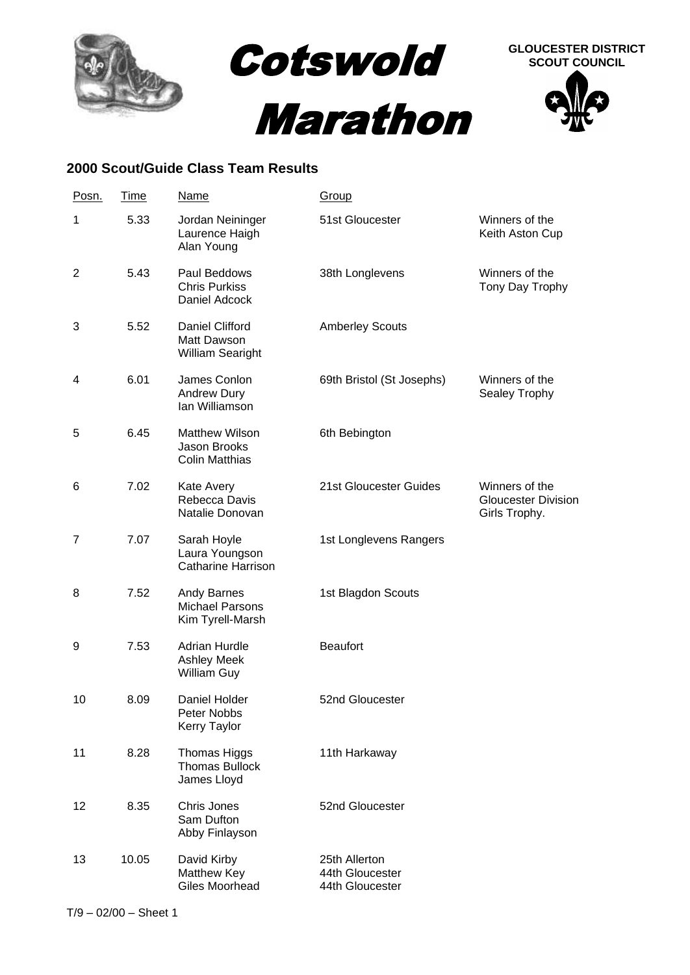

## **2000 Scout/Guide Class Team Results**

| Posn.          | <u>Time</u> | <b>Name</b>                                                      | <b>Group</b>                                        |                                                               |
|----------------|-------------|------------------------------------------------------------------|-----------------------------------------------------|---------------------------------------------------------------|
| 1              | 5.33        | Jordan Neininger<br>Laurence Haigh<br>Alan Young                 | 51st Gloucester                                     | Winners of the<br>Keith Aston Cup                             |
| $\overline{2}$ | 5.43        | Paul Beddows<br><b>Chris Purkiss</b><br>Daniel Adcock            | 38th Longlevens                                     | Winners of the<br>Tony Day Trophy                             |
| 3              | 5.52        | Daniel Clifford<br>Matt Dawson<br>William Searight               | <b>Amberley Scouts</b>                              |                                                               |
| 4              | 6.01        | James Conlon<br>Andrew Dury<br>Ian Williamson                    | 69th Bristol (St Josephs)                           | Winners of the<br>Sealey Trophy                               |
| 5              | 6.45        | <b>Matthew Wilson</b><br>Jason Brooks<br><b>Colin Matthias</b>   | 6th Bebington                                       |                                                               |
| 6              | 7.02        | Kate Avery<br>Rebecca Davis<br>Natalie Donovan                   | 21st Gloucester Guides                              | Winners of the<br><b>Gloucester Division</b><br>Girls Trophy. |
| 7              | 7.07        | Sarah Hoyle<br>Laura Youngson<br><b>Catharine Harrison</b>       | 1st Longlevens Rangers                              |                                                               |
| 8              | 7.52        | <b>Andy Barnes</b><br><b>Michael Parsons</b><br>Kim Tyrell-Marsh | 1st Blagdon Scouts                                  |                                                               |
| 9              | 7.53        | <b>Adrian Hurdle</b><br><b>Ashley Meek</b><br><b>William Guy</b> | <b>Beaufort</b>                                     |                                                               |
| 10             | 8.09        | Daniel Holder<br>Peter Nobbs<br><b>Kerry Taylor</b>              | 52nd Gloucester                                     |                                                               |
| 11             | 8.28        | Thomas Higgs<br><b>Thomas Bullock</b><br>James Lloyd             | 11th Harkaway                                       |                                                               |
| 12             | 8.35        | Chris Jones<br>Sam Dufton<br>Abby Finlayson                      | 52nd Gloucester                                     |                                                               |
| 13             | 10.05       | David Kirby<br>Matthew Key<br>Giles Moorhead                     | 25th Allerton<br>44th Gloucester<br>44th Gloucester |                                                               |